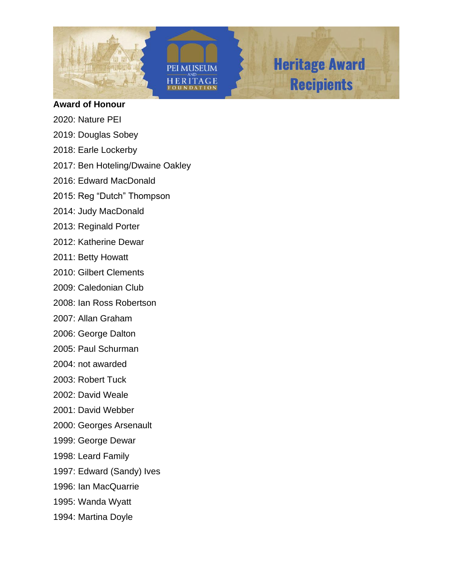

**PEI MUSEUM ERITAGE** 



#### **Award of Honour**

- 2020: Nature PEI
- 2019: Douglas Sobey
- 2018: Earle Lockerby
- 2017: Ben Hoteling/Dwaine Oakley
- 2016: Edward MacDonald
- 2015: Reg "Dutch" Thompson
- 2014: Judy MacDonald
- 2013: Reginald Porter
- 2012: Katherine Dewar
- 2011: Betty Howatt
- 2010: Gilbert Clements
- 2009: Caledonian Club
- 2008: Ian Ross Robertson
- 2007: Allan Graham
- 2006: George Dalton
- 2005: Paul Schurman
- 2004: not awarded
- 2003: Robert Tuck
- 2002: David Weale
- 2001: David Webber
- 2000: Georges Arsenault
- 1999: George Dewar
- 1998: Leard Family
- 1997: Edward (Sandy) Ives
- 1996: Ian MacQuarrie
- 1995: Wanda Wyatt
- 1994: Martina Doyle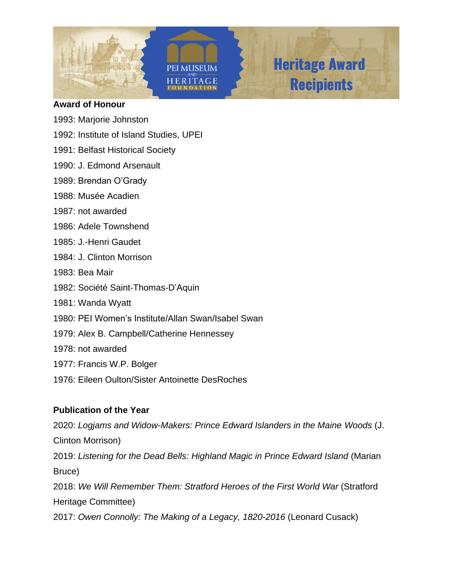





### **Award of Honour**

- 1993: Marjorie Johnston
- 1992: Institute of Island Studies, UPEI
- 1991: Belfast Historical Society
- 1990: J. Edmond Arsenault
- 1989: Brendan O'Grady
- 1988: Musée Acadien
- 1987: not awarded
- 1986: Adele Townshend
- 1985: J.-Henri Gaudet
- 1984: J. Clinton Morrison
- 1983: Bea Mair
- 1982: Société Saint-Thomas-D'Aquin
- 1981: Wanda Wyatt
- 1980: PEI Women's Institute/Allan Swan/Isabel Swan
- 1979: Alex B. Campbell/Catherine Hennessey
- 1978: not awarded
- 1977: Francis W.P. Bolger
- 1976: Eileen Oulton/Sister Antoinette DesRoches

# **Publication of the Year**

2020: *Logjams and Widow-Makers: Prince Edward Islanders in the Maine Woods* (J. Clinton Morrison) 2019: *Listening for the Dead Bells: Highland Magic in Prince Edward Island* (Marian Bruce) 2018: *We Will Remember Them: Stratford Heroes of the First World War* (Stratford Heritage Committee)

2017: *Owen Connolly: The Making of a Legacy, 1820-2016* (Leonard Cusack)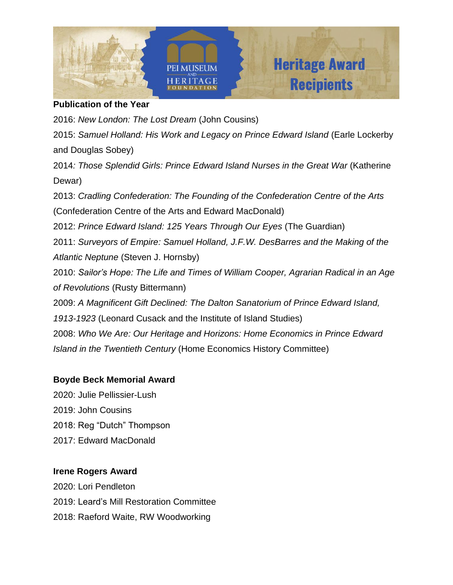

### **Publication of the Year**

2016: *New London: The Lost Dream* (John Cousins) 2015: *Samuel Holland: His Work and Legacy on Prince Edward Island* (Earle Lockerby and Douglas Sobey) 2014*: Those Splendid Girls: Prince Edward Island Nurses in the Great War* (Katherine Dewar) 2013: *Cradling Confederation: The Founding of the Confederation Centre of the Arts* (Confederation Centre of the Arts and Edward MacDonald) 2012: *Prince Edward Island: 125 Years Through Our Eyes* (The Guardian) 2011: *Surveyors of Empire: Samuel Holland, J.F.W. DesBarres and the Making of the Atlantic Neptune* (Steven J. Hornsby) 2010: *Sailor's Hope: The Life and Times of William Cooper, Agrarian Radical in an Age of Revolutions* (Rusty Bittermann) 2009: *A Magnificent Gift Declined: The Dalton Sanatorium of Prince Edward Island, 1913-1923* (Leonard Cusack and the Institute of Island Studies) 2008: *Who We Are: Our Heritage and Horizons: Home Economics in Prince Edward Island in the Twentieth Century* (Home Economics History Committee)

## **Boyde Beck Memorial Award**

2020: Julie Pellissier-Lush 2019: John Cousins 2018: Reg "Dutch" Thompson 2017: Edward MacDonald

## **Irene Rogers Award**

2020: Lori Pendleton 2019: Leard's Mill Restoration Committee 2018: Raeford Waite, RW Woodworking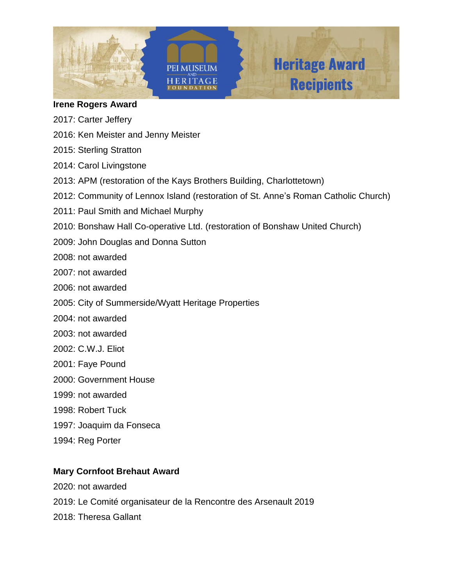

#### **Irene Rogers Award**

- 2017: Carter Jeffery
- 2016: Ken Meister and Jenny Meister
- 2015: Sterling Stratton
- 2014: Carol Livingstone
- 2013: APM (restoration of the Kays Brothers Building, Charlottetown)
- 2012: Community of Lennox Island (restoration of St. Anne's Roman Catholic Church)
- 2011: Paul Smith and Michael Murphy
- 2010: Bonshaw Hall Co-operative Ltd. (restoration of Bonshaw United Church)
- 2009: John Douglas and Donna Sutton

2008: not awarded

- 2007: not awarded
- 2006: not awarded
- 2005: City of Summerside/Wyatt Heritage Properties
- 2004: not awarded
- 2003: not awarded
- 2002: C.W.J. Eliot
- 2001: Faye Pound
- 2000: Government House
- 1999: not awarded
- 1998: Robert Tuck
- 1997: Joaquim da Fonseca
- 1994: Reg Porter

## **Mary Cornfoot Brehaut Award**

2020: not awarded 2019: Le Comité organisateur de la Rencontre des Arsenault 2019 2018: Theresa Gallant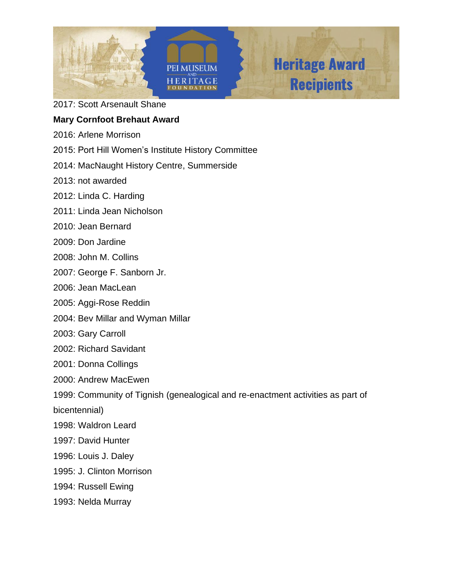

2017: Scott Arsenault Shane

### **Mary Cornfoot Brehaut Award**

- 2016: Arlene Morrison
- 2015: Port Hill Women's Institute History Committee
- 2014: MacNaught History Centre, Summerside
- 2013: not awarded
- 2012: Linda C. Harding
- 2011: Linda Jean Nicholson
- 2010: Jean Bernard
- 2009: Don Jardine
- 2008: John M. Collins
- 2007: George F. Sanborn Jr.
- 2006: Jean MacLean
- 2005: Aggi-Rose Reddin
- 2004: Bev Millar and Wyman Millar
- 2003: Gary Carroll
- 2002: Richard Savidant
- 2001: Donna Collings
- 2000: Andrew MacEwen
- 1999: Community of Tignish (genealogical and re-enactment activities as part of
- bicentennial)
- 1998: Waldron Leard
- 1997: David Hunter
- 1996: Louis J. Daley
- 1995: J. Clinton Morrison
- 1994: Russell Ewing
- 1993: Nelda Murray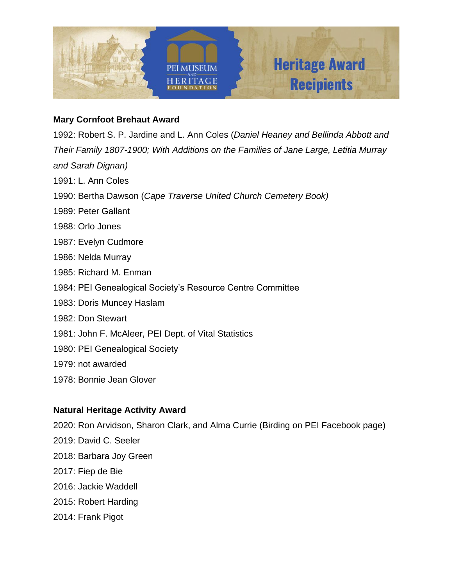

### **Mary Cornfoot Brehaut Award**

1992: Robert S. P. Jardine and L. Ann Coles (*Daniel Heaney and Bellinda Abbott and Their Family 1807-1900; With Additions on the Families of Jane Large, Letitia Murray and Sarah Dignan)*

- 1991: L. Ann Coles
- 1990: Bertha Dawson (*Cape Traverse United Church Cemetery Book)*
- 1989: Peter Gallant
- 1988: Orlo Jones
- 1987: Evelyn Cudmore
- 1986: Nelda Murray
- 1985: Richard M. Enman
- 1984: PEI Genealogical Society's Resource Centre Committee
- 1983: Doris Muncey Haslam
- 1982: Don Stewart
- 1981: John F. McAleer, PEI Dept. of Vital Statistics
- 1980: PEI Genealogical Society
- 1979: not awarded
- 1978: Bonnie Jean Glover

### **Natural Heritage Activity Award**

2020: Ron Arvidson, Sharon Clark, and Alma Currie (Birding on PEI Facebook page) 2019: David C. Seeler 2018: Barbara Joy Green 2017: Fiep de Bie 2016: Jackie Waddell 2015: Robert Harding 2014: Frank Pigot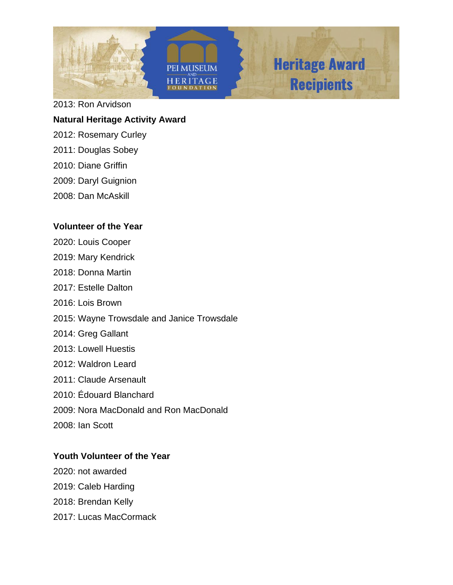

2013: Ron Arvidson

### **Natural Heritage Activity Award**

- 2012: Rosemary Curley
- 2011: Douglas Sobey
- 2010: Diane Griffin
- 2009: Daryl Guignion
- 2008: Dan McAskill

### **Volunteer of the Year**

- 2020: Louis Cooper 2019: Mary Kendrick 2018: Donna Martin
- 2017: Estelle Dalton
- 2016: Lois Brown
- 2015: Wayne Trowsdale and Janice Trowsdale
- 2014: Greg Gallant
- 2013: Lowell Huestis
- 2012: Waldron Leard
- 2011: Claude Arsenault
- 2010: Édouard Blanchard
- 2009: Nora MacDonald and Ron MacDonald
- 2008: Ian Scott

## **Youth Volunteer of the Year**

2020: not awarded 2019: Caleb Harding 2018: Brendan Kelly 2017: Lucas MacCormack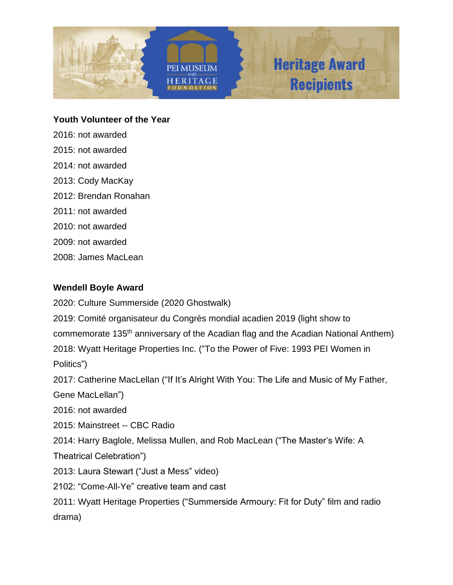

**Youth Volunteer of the Year**

2016: not awarded 2015: not awarded 2014: not awarded 2013: Cody MacKay 2012: Brendan Ronahan 2011: not awarded 2010: not awarded 2009: not awarded 2008: James MacLean

## **Wendell Boyle Award**

2020: Culture Summerside (2020 Ghostwalk)

2019: Comité organisateur du Congrès mondial acadien 2019 (light show to commemorate 135th anniversary of the Acadian flag and the Acadian National Anthem) 2018: Wyatt Heritage Properties Inc. ("To the Power of Five: 1993 PEI Women in Politics")

2017: Catherine MacLellan ("If It's Alright With You: The Life and Music of My Father,

Gene MacLellan")

2016: not awarded

2015: Mainstreet -- CBC Radio

2014: Harry Baglole, Melissa Mullen, and Rob MacLean ("The Master's Wife: A

Theatrical Celebration")

2013: Laura Stewart ("Just a Mess" video)

2102: "Come-All-Ye" creative team and cast

2011: Wyatt Heritage Properties ("Summerside Armoury: Fit for Duty" film and radio drama)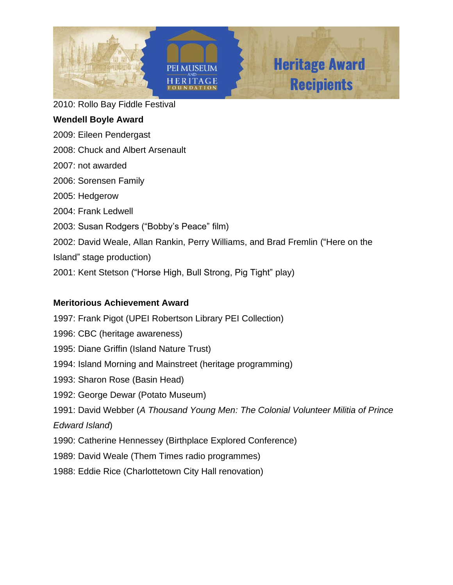

2010: Rollo Bay Fiddle Festival

## **Wendell Boyle Award**

- 2009: Eileen Pendergast
- 2008: Chuck and Albert Arsenault
- 2007: not awarded
- 2006: Sorensen Family
- 2005: Hedgerow
- 2004: Frank Ledwell
- 2003: Susan Rodgers ("Bobby's Peace" film)
- 2002: David Weale, Allan Rankin, Perry Williams, and Brad Fremlin ("Here on the
- Island" stage production)
- 2001: Kent Stetson ("Horse High, Bull Strong, Pig Tight" play)

## **Meritorious Achievement Award**

1997: Frank Pigot (UPEI Robertson Library PEI Collection) 1996: CBC (heritage awareness) 1995: Diane Griffin (Island Nature Trust) 1994: Island Morning and Mainstreet (heritage programming) 1993: Sharon Rose (Basin Head) 1992: George Dewar (Potato Museum) 1991: David Webber (*A Thousand Young Men: The Colonial Volunteer Militia of Prince Edward Island*) 1990: Catherine Hennessey (Birthplace Explored Conference) 1989: David Weale (Them Times radio programmes)

1988: Eddie Rice (Charlottetown City Hall renovation)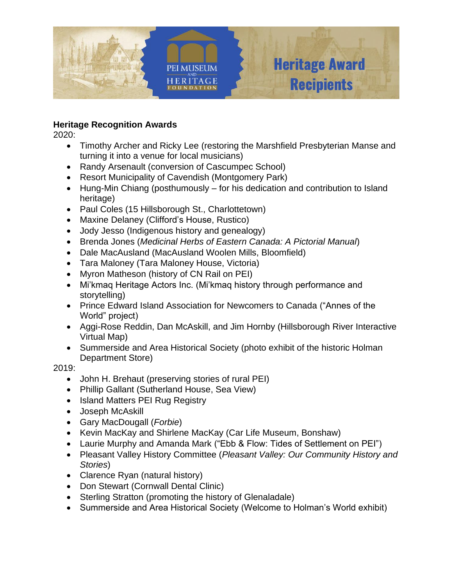

# **Heritage Recognition Awards**

2020:

- Timothy Archer and Ricky Lee (restoring the Marshfield Presbyterian Manse and turning it into a venue for local musicians)
- Randy Arsenault (conversion of Cascumpec School)
- Resort Municipality of Cavendish (Montgomery Park)
- Hung-Min Chiang (posthumously for his dedication and contribution to Island heritage)
- Paul Coles (15 Hillsborough St., Charlottetown)
- Maxine Delaney (Clifford's House, Rustico)
- Jody Jesso (Indigenous history and genealogy)
- Brenda Jones (*Medicinal Herbs of Eastern Canada: A Pictorial Manual*)
- Dale MacAusland (MacAusland Woolen Mills, Bloomfield)
- Tara Maloney (Tara Maloney House, Victoria)
- Myron Matheson (history of CN Rail on PEI)
- Mi'kmaq Heritage Actors Inc. (Mi'kmaq history through performance and storytelling)
- Prince Edward Island Association for Newcomers to Canada ("Annes of the World" project)
- Aggi-Rose Reddin, Dan McAskill, and Jim Hornby (Hillsborough River Interactive Virtual Map)
- Summerside and Area Historical Society (photo exhibit of the historic Holman Department Store)

- John H. Brehaut (preserving stories of rural PEI)
- Phillip Gallant (Sutherland House, Sea View)
- Island Matters PEI Rug Registry
- Joseph McAskill
- Gary MacDougall (*Forbie*)
- Kevin MacKay and Shirlene MacKay (Car Life Museum, Bonshaw)
- Laurie Murphy and Amanda Mark ("Ebb & Flow: Tides of Settlement on PEI")
- Pleasant Valley History Committee (*Pleasant Valley: Our Community History and Stories*)
- Clarence Ryan (natural history)
- Don Stewart (Cornwall Dental Clinic)
- Sterling Stratton (promoting the history of Glenaladale)
- Summerside and Area Historical Society (Welcome to Holman's World exhibit)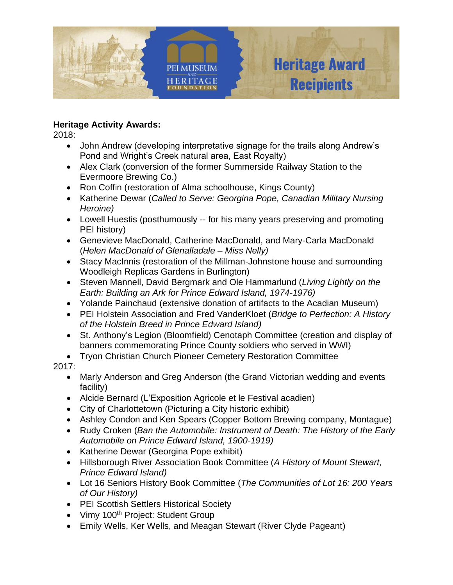

2018:

- John Andrew (developing interpretative signage for the trails along Andrew's Pond and Wright's Creek natural area, East Royalty)
- Alex Clark (conversion of the former Summerside Railway Station to the Evermoore Brewing Co.)
- Ron Coffin (restoration of Alma schoolhouse, Kings County)
- Katherine Dewar (*Called to Serve: Georgina Pope, Canadian Military Nursing Heroine)*
- Lowell Huestis (posthumously -- for his many years preserving and promoting PEI history)
- Genevieve MacDonald, Catherine MacDonald, and Mary-Carla MacDonald (*Helen MacDonald of Glenalladale – Miss Nelly)*
- Stacy MacInnis (restoration of the Millman-Johnstone house and surrounding Woodleigh Replicas Gardens in Burlington)
- Steven Mannell, David Bergmark and Ole Hammarlund (*Living Lightly on the Earth: Building an Ark for Prince Edward Island, 1974-1976)*
- Yolande Painchaud (extensive donation of artifacts to the Acadian Museum)
- PEI Holstein Association and Fred VanderKloet (*Bridge to Perfection: A History of the Holstein Breed in Prince Edward Island)*
- St. Anthony's Legion (Bloomfield) Cenotaph Committee (creation and display of banners commemorating Prince County soldiers who served in WWI)
- Tryon Christian Church Pioneer Cemetery Restoration Committee

- Marly Anderson and Greg Anderson (the Grand Victorian wedding and events facility)
- Alcide Bernard (L'Exposition Agricole et le Festival acadien)
- City of Charlottetown (Picturing a City historic exhibit)
- Ashley Condon and Ken Spears (Copper Bottom Brewing company, Montague)
- Rudy Croken (*Ban the Automobile: Instrument of Death: The History of the Early Automobile on Prince Edward Island, 1900-1919)*
- Katherine Dewar (Georgina Pope exhibit)
- Hillsborough River Association Book Committee (*A History of Mount Stewart, Prince Edward Island)*
- Lot 16 Seniors History Book Committee (*The Communities of Lot 16: 200 Years of Our History)*
- PEI Scottish Settlers Historical Society
- Vimy 100<sup>th</sup> Project: Student Group
- Emily Wells, Ker Wells, and Meagan Stewart (River Clyde Pageant)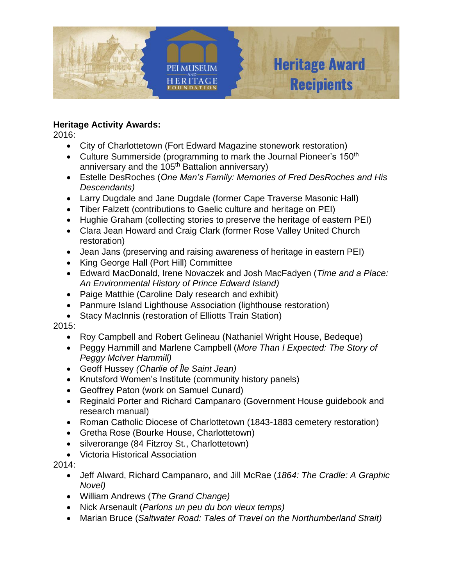

2016:

- City of Charlottetown (Fort Edward Magazine stonework restoration)
- Culture Summerside (programming to mark the Journal Pioneer's 150<sup>th</sup> anniversary and the 105<sup>th</sup> Battalion anniversary)
- Estelle DesRoches (*One Man's Family: Memories of Fred DesRoches and His Descendants)*
- Larry Dugdale and Jane Dugdale (former Cape Traverse Masonic Hall)
- Tiber Falzett (contributions to Gaelic culture and heritage on PEI)
- Hughie Graham (collecting stories to preserve the heritage of eastern PEI)
- Clara Jean Howard and Craig Clark (former Rose Valley United Church restoration)
- Jean Jans (preserving and raising awareness of heritage in eastern PEI)
- King George Hall (Port Hill) Committee
- Edward MacDonald, Irene Novaczek and Josh MacFadyen (*Time and a Place: An Environmental History of Prince Edward Island)*
- Paige Matthie (Caroline Daly research and exhibit)
- Panmure Island Lighthouse Association (lighthouse restoration)
- Stacy MacInnis (restoration of Elliotts Train Station)

2015:

- Roy Campbell and Robert Gelineau (Nathaniel Wright House, Bedeque)
- Peggy Hammill and Marlene Campbell (*More Than I Expected: The Story of Peggy McIver Hammill)*
- Geoff Hussey *(Charlie of Ȋle Saint Jean)*
- Knutsford Women's Institute (community history panels)
- Geoffrey Paton (work on Samuel Cunard)
- Reginald Porter and Richard Campanaro (Government House guidebook and research manual)
- Roman Catholic Diocese of Charlottetown (1843-1883 cemetery restoration)
- Gretha Rose (Bourke House, Charlottetown)
- silverorange (84 Fitzroy St., Charlottetown)
- Victoria Historical Association

- Jeff Alward, Richard Campanaro, and Jill McRae (*1864: The Cradle: A Graphic Novel)*
- William Andrews (*The Grand Change)*
- Nick Arsenault (*Parlons un peu du bon vieux temps)*
- Marian Bruce (*Saltwater Road: Tales of Travel on the Northumberland Strait)*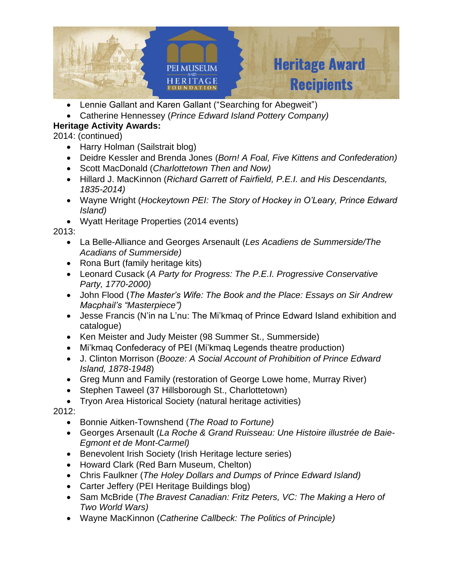

- Lennie Gallant and Karen Gallant ("Searching for Abegweit")
- Catherine Hennessey (*Prince Edward Island Pottery Company)*

2014: (continued)

- Harry Holman (Sailstrait blog)
- Deidre Kessler and Brenda Jones (*Born! A Foal, Five Kittens and Confederation)*
- Scott MacDonald (*Charlottetown Then and Now)*
- Hillard J. MacKinnon (*Richard Garrett of Fairfield, P.E.I. and His Descendants, 1835-2014)*
- Wayne Wright (*Hockeytown PEI: The Story of Hockey in O'Leary, Prince Edward Island)*
- Wyatt Heritage Properties (2014 events)

2013:

- La Belle-Alliance and Georges Arsenault (*Les Acadiens de Summerside/The Acadians of Summerside)*
- Rona Burt (family heritage kits)
- Leonard Cusack (*A Party for Progress: The P.E.I. Progressive Conservative Party, 1770-2000)*
- John Flood (*The Master's Wife: The Book and the Place: Essays on Sir Andrew Macphail's "Masterpiece")*
- Jesse Francis (N'in na L'nu: The Mi'kmaq of Prince Edward Island exhibition and catalogue)
- Ken Meister and Judy Meister (98 Summer St., Summerside)
- Mi'kmaq Confederacy of PEI (Mi'kmaq Legends theatre production)
- J. Clinton Morrison (*Booze: A Social Account of Prohibition of Prince Edward Island, 1878-1948*)
- Greg Munn and Family (restoration of George Lowe home, Murray River)
- Stephen Taweel (37 Hillsborough St., Charlottetown)
- Tryon Area Historical Society (natural heritage activities)

- Bonnie Aitken-Townshend (*The Road to Fortune)*
- Georges Arsenault (*La Roche & Grand Ruisseau: Une Histoire illustrée de Baie-Egmont et de Mont-Carmel)*
- Benevolent Irish Society (Irish Heritage lecture series)
- Howard Clark (Red Barn Museum, Chelton)
- Chris Faulkner (*The Holey Dollars and Dumps of Prince Edward Island)*
- Carter Jeffery (PEI Heritage Buildings blog)
- Sam McBride (*The Bravest Canadian: Fritz Peters, VC: The Making a Hero of Two World Wars)*
- Wayne MacKinnon (*Catherine Callbeck: The Politics of Principle)*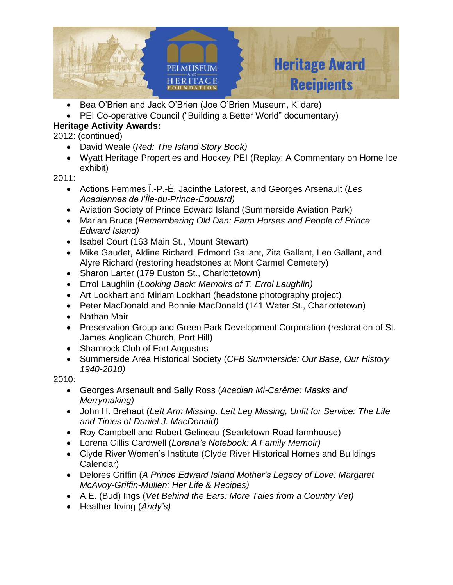

- Bea O'Brien and Jack O'Brien (Joe O'Brien Museum, Kildare)
- PEI Co-operative Council ("Building a Better World" documentary)

2012: (continued)

- David Weale (*Red: The Island Story Book)*
- Wyatt Heritage Properties and Hockey PEI (Replay: A Commentary on Home Ice exhibit)

2011:

- Actions Femmes Ȋ.-P.-É, Jacinthe Laforest, and Georges Arsenault (*Les Acadiennes de l'Ȋle-du-Prince-Édouard)*
- Aviation Society of Prince Edward Island (Summerside Aviation Park)
- Marian Bruce (*Remembering Old Dan: Farm Horses and People of Prince Edward Island)*
- Isabel Court (163 Main St., Mount Stewart)
- Mike Gaudet, Aldine Richard, Edmond Gallant, Zita Gallant, Leo Gallant, and Alyre Richard (restoring headstones at Mont Carmel Cemetery)
- Sharon Larter (179 Euston St., Charlottetown)
- Errol Laughlin (*Looking Back: Memoirs of T. Errol Laughlin)*
- Art Lockhart and Miriam Lockhart (headstone photography project)
- Peter MacDonald and Bonnie MacDonald (141 Water St., Charlottetown)
- Nathan Mair
- Preservation Group and Green Park Development Corporation (restoration of St. James Anglican Church, Port Hill)
- Shamrock Club of Fort Augustus
- Summerside Area Historical Society (*CFB Summerside: Our Base, Our History 1940-2010)*

- Georges Arsenault and Sally Ross (*Acadian Mi-Carême: Masks and Merrymaking)*
- John H. Brehaut (*Left Arm Missing. Left Leg Missing, Unfit for Service: The Life and Times of Daniel J. MacDonald)*
- Roy Campbell and Robert Gelineau (Searletown Road farmhouse)
- Lorena Gillis Cardwell (*Lorena's Notebook: A Family Memoir)*
- Clyde River Women's Institute (Clyde River Historical Homes and Buildings Calendar)
- Delores Griffin (*A Prince Edward Island Mother's Legacy of Love: Margaret McAvoy-Griffin-Mullen: Her Life & Recipes)*
- A.E. (Bud) Ings (*Vet Behind the Ears: More Tales from a Country Vet)*
- Heather Irving (*Andy's)*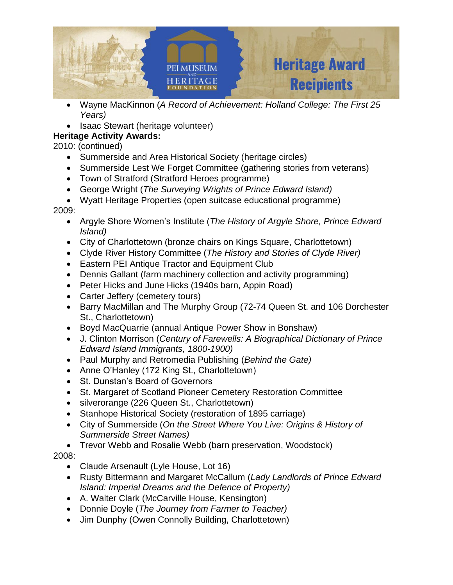

- Wayne MacKinnon (*A Record of Achievement: Holland College: The First 25 Years)*
- Isaac Stewart (heritage volunteer)

2010: (continued)

- Summerside and Area Historical Society (heritage circles)
- Summerside Lest We Forget Committee (gathering stories from veterans)
- Town of Stratford (Stratford Heroes programme)
- George Wright (*The Surveying Wrights of Prince Edward Island)*
- Wyatt Heritage Properties (open suitcase educational programme)

2009:

- Argyle Shore Women's Institute (*The History of Argyle Shore, Prince Edward Island)*
- City of Charlottetown (bronze chairs on Kings Square, Charlottetown)
- Clyde River History Committee (*The History and Stories of Clyde River)*
- Eastern PEI Antique Tractor and Equipment Club
- Dennis Gallant (farm machinery collection and activity programming)
- Peter Hicks and June Hicks (1940s barn, Appin Road)
- Carter Jeffery (cemetery tours)
- Barry MacMillan and The Murphy Group (72-74 Queen St. and 106 Dorchester St., Charlottetown)
- Boyd MacQuarrie (annual Antique Power Show in Bonshaw)
- J. Clinton Morrison (*Century of Farewells: A Biographical Dictionary of Prince Edward Island Immigrants, 1800-1900)*
- Paul Murphy and Retromedia Publishing (*Behind the Gate)*
- Anne O'Hanley (172 King St., Charlottetown)
- St. Dunstan's Board of Governors
- St. Margaret of Scotland Pioneer Cemetery Restoration Committee
- silverorange (226 Queen St., Charlottetown)
- Stanhope Historical Society (restoration of 1895 carriage)
- City of Summerside (*On the Street Where You Live: Origins & History of Summerside Street Names)*
- Trevor Webb and Rosalie Webb (barn preservation, Woodstock)

- Claude Arsenault (Lyle House, Lot 16)
- Rusty Bittermann and Margaret McCallum (*Lady Landlords of Prince Edward Island: Imperial Dreams and the Defence of Property)*
- A. Walter Clark (McCarville House, Kensington)
- Donnie Doyle (*The Journey from Farmer to Teacher)*
- Jim Dunphy (Owen Connolly Building, Charlottetown)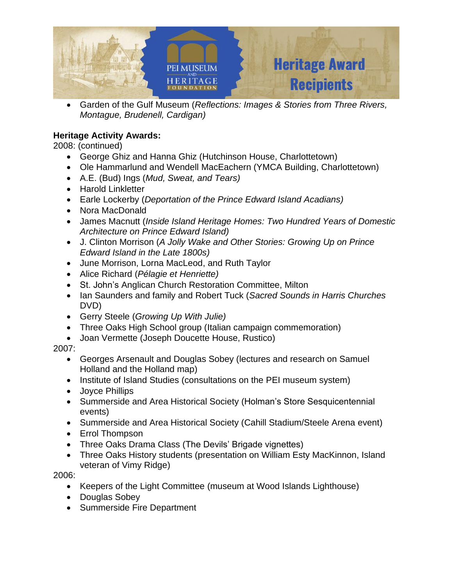

• Garden of the Gulf Museum (*Reflections: Images & Stories from Three Rivers, Montague, Brudenell, Cardigan)*

# **Heritage Activity Awards:**

2008: (continued)

- George Ghiz and Hanna Ghiz (Hutchinson House, Charlottetown)
- Ole Hammarlund and Wendell MacEachern (YMCA Building, Charlottetown)
- A.E. (Bud) Ings (*Mud, Sweat, and Tears)*
- Harold Linkletter
- Earle Lockerby (*Deportation of the Prince Edward Island Acadians)*
- Nora MacDonald
- James Macnutt (*Inside Island Heritage Homes: Two Hundred Years of Domestic Architecture on Prince Edward Island)*
- J. Clinton Morrison (*A Jolly Wake and Other Stories: Growing Up on Prince Edward Island in the Late 1800s)*
- June Morrison, Lorna MacLeod, and Ruth Taylor
- Alice Richard (*Pélagie et Henriette)*
- St. John's Anglican Church Restoration Committee, Milton
- Ian Saunders and family and Robert Tuck (*Sacred Sounds in Harris Churches* DVD)
- Gerry Steele (*Growing Up With Julie)*
- Three Oaks High School group (Italian campaign commemoration)
- Joan Vermette (Joseph Doucette House, Rustico)

## 2007:

- Georges Arsenault and Douglas Sobey (lectures and research on Samuel Holland and the Holland map)
- Institute of Island Studies (consultations on the PEI museum system)
- Joyce Phillips
- Summerside and Area Historical Society (Holman's Store Sesquicentennial events)
- Summerside and Area Historical Society (Cahill Stadium/Steele Arena event)
- Errol Thompson
- Three Oaks Drama Class (The Devils' Brigade vignettes)
- Three Oaks History students (presentation on William Esty MacKinnon, Island veteran of Vimy Ridge)

- Keepers of the Light Committee (museum at Wood Islands Lighthouse)
- Douglas Sobey
- Summerside Fire Department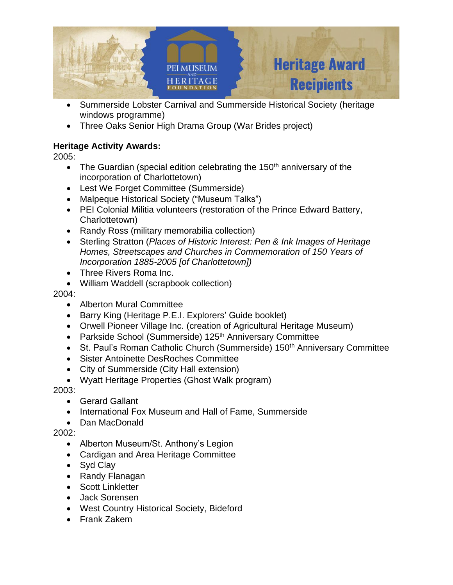

- Summerside Lobster Carnival and Summerside Historical Society (heritage windows programme)
- Three Oaks Senior High Drama Group (War Brides project)

2005:

- The Guardian (special edition celebrating the 150<sup>th</sup> anniversary of the incorporation of Charlottetown)
- Lest We Forget Committee (Summerside)
- Malpeque Historical Society ("Museum Talks")
- PEI Colonial Militia volunteers (restoration of the Prince Edward Battery, Charlottetown)
- Randy Ross (military memorabilia collection)
- Sterling Stratton (*Places of Historic Interest: Pen & Ink Images of Heritage Homes, Streetscapes and Churches in Commemoration of 150 Years of Incorporation 1885-2005 [of Charlottetown])*
- Three Rivers Roma Inc.
- William Waddell (scrapbook collection)

2004:

- Alberton Mural Committee
- Barry King (Heritage P.E.I. Explorers' Guide booklet)
- Orwell Pioneer Village Inc. (creation of Agricultural Heritage Museum)
- Parkside School (Summerside) 125<sup>th</sup> Anniversary Committee
- St. Paul's Roman Catholic Church (Summerside) 150<sup>th</sup> Anniversary Committee
- Sister Antoinette DesRoches Committee
- City of Summerside (City Hall extension)
- Wyatt Heritage Properties (Ghost Walk program)

2003:

- Gerard Gallant
- International Fox Museum and Hall of Fame, Summerside
- Dan MacDonald

- Alberton Museum/St. Anthony's Legion
- Cardigan and Area Heritage Committee
- Syd Clay
- Randy Flanagan
- Scott Linkletter
- Jack Sorensen
- West Country Historical Society, Bideford
- Frank Zakem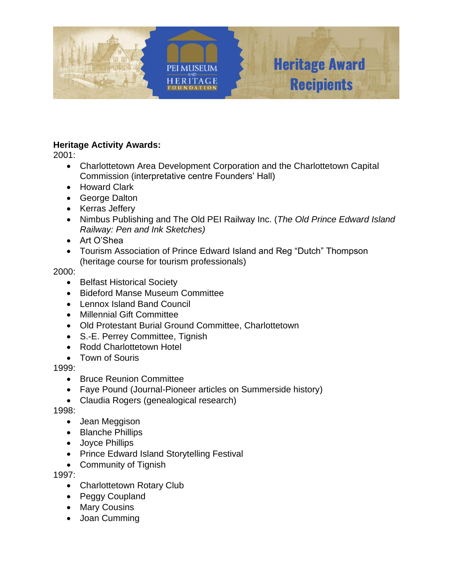

2001:

- Charlottetown Area Development Corporation and the Charlottetown Capital Commission (interpretative centre Founders' Hall)
- Howard Clark
- George Dalton
- Kerras Jeffery
- Nimbus Publishing and The Old PEI Railway Inc. (*The Old Prince Edward Island Railway: Pen and Ink Sketches)*
- Art O'Shea
- Tourism Association of Prince Edward Island and Reg "Dutch" Thompson (heritage course for tourism professionals)

2000:

- Belfast Historical Society
- Bideford Manse Museum Committee
- Lennox Island Band Council
- Millennial Gift Committee
- Old Protestant Burial Ground Committee, Charlottetown
- S.-E. Perrey Committee, Tignish
- Rodd Charlottetown Hotel
- Town of Souris

### 1999:

- Bruce Reunion Committee
- Faye Pound (Journal-Pioneer articles on Summerside history)
- Claudia Rogers (genealogical research)

1998:

- Jean Meggison
- Blanche Phillips
- Joyce Phillips
- Prince Edward Island Storytelling Festival
- Community of Tignish

- Charlottetown Rotary Club
- Peggy Coupland
- Mary Cousins
- Joan Cumming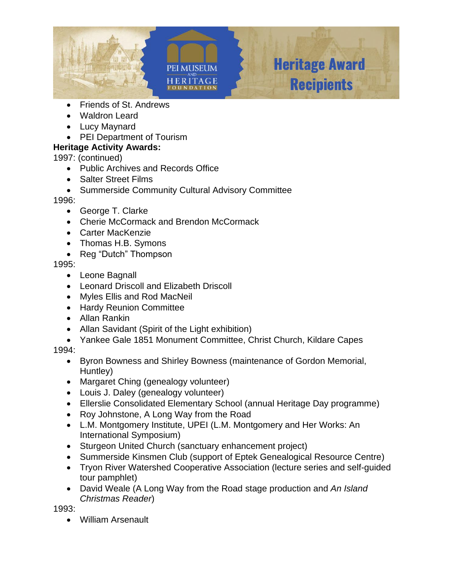

- Friends of St. Andrews
- Waldron Leard
- Lucy Maynard
- PEI Department of Tourism

1997: (continued)

- Public Archives and Records Office
- Salter Street Films
- Summerside Community Cultural Advisory Committee

### 1996:

- George T. Clarke
- Cherie McCormack and Brendon McCormack
- Carter MacKenzie
- Thomas H.B. Symons
- Reg "Dutch" Thompson

### 1995:

- Leone Bagnall
- Leonard Driscoll and Elizabeth Driscoll
- Myles Ellis and Rod MacNeil
- Hardy Reunion Committee
- Allan Rankin
- Allan Savidant (Spirit of the Light exhibition)
- Yankee Gale 1851 Monument Committee, Christ Church, Kildare Capes

## 1994:

- Byron Bowness and Shirley Bowness (maintenance of Gordon Memorial, Huntley)
- Margaret Ching (genealogy volunteer)
- Louis J. Daley (genealogy volunteer)
- Ellerslie Consolidated Elementary School (annual Heritage Day programme)
- Roy Johnstone, A Long Way from the Road
- L.M. Montgomery Institute, UPEI (L.M. Montgomery and Her Works: An International Symposium)
- Sturgeon United Church (sanctuary enhancement project)
- Summerside Kinsmen Club (support of Eptek Genealogical Resource Centre)
- Tryon River Watershed Cooperative Association (lecture series and self-guided tour pamphlet)
- David Weale (A Long Way from the Road stage production and *An Island Christmas Reader*)

1993:

• William Arsenault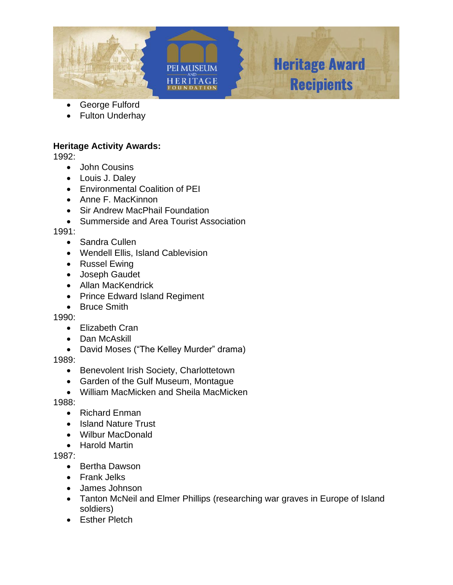



**Heritage Award** 

**Recipients** 

### George Fulford

Fulton Underhay

### **Heritage Activity Awards:**

1992:

- John Cousins
- Louis J. Daley
- Environmental Coalition of PEI
- Anne F. MacKinnon
- Sir Andrew MacPhail Foundation
- Summerside and Area Tourist Association

1991:

- Sandra Cullen
- Wendell Ellis, Island Cablevision
- Russel Ewing
- Joseph Gaudet
- Allan MacKendrick
- Prince Edward Island Regiment
- Bruce Smith

1990:

- Elizabeth Cran
- Dan McAskill
- David Moses ("The Kelley Murder" drama)

1989:

- Benevolent Irish Society, Charlottetown
- Garden of the Gulf Museum, Montague
- William MacMicken and Sheila MacMicken

1988:

- Richard Enman
- Island Nature Trust
- Wilbur MacDonald
- Harold Martin

- Bertha Dawson
- Frank Jelks
- James Johnson
- Tanton McNeil and Elmer Phillips (researching war graves in Europe of Island soldiers)
- Esther Pletch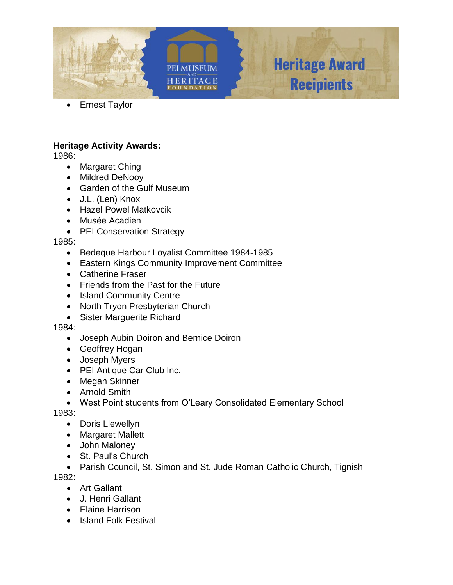

• Ernest Taylor

### **Heritage Activity Awards:**

1986:

- Margaret Ching
- Mildred DeNooy
- Garden of the Gulf Museum
- J.L. (Len) Knox
- Hazel Powel Matkovcik
- Musée Acadien
- PEI Conservation Strategy

#### 1985:

- Bedeque Harbour Loyalist Committee 1984-1985
- Eastern Kings Community Improvement Committee
- Catherine Fraser
- Friends from the Past for the Future
- Island Community Centre
- North Tryon Presbyterian Church
- Sister Marguerite Richard

### 1984:

- Joseph Aubin Doiron and Bernice Doiron
- Geoffrey Hogan
- Joseph Myers
- PEI Antique Car Club Inc.
- Megan Skinner
- Arnold Smith
- West Point students from O'Leary Consolidated Elementary School

1983:

- Doris Llewellyn
- Margaret Mallett
- John Maloney
- St. Paul's Church

• Parish Council, St. Simon and St. Jude Roman Catholic Church, Tignish 1982:

- Art Gallant
- J. Henri Gallant
- Elaine Harrison
- Island Folk Festival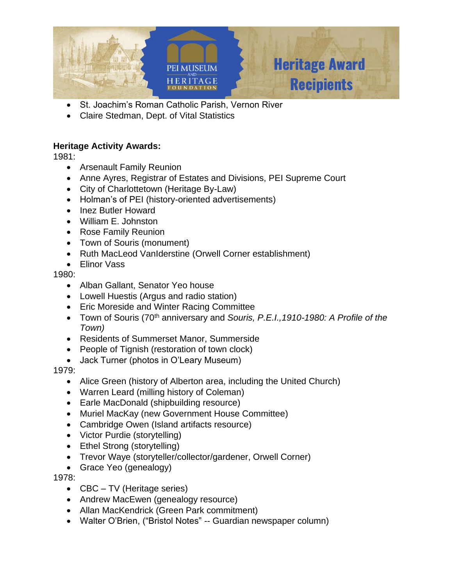

- St. Joachim's Roman Catholic Parish, Vernon River
- Claire Stedman, Dept. of Vital Statistics

1981:

- Arsenault Family Reunion
- Anne Ayres, Registrar of Estates and Divisions, PEI Supreme Court
- City of Charlottetown (Heritage By-Law)
- Holman's of PEI (history-oriented advertisements)
- Inez Butler Howard
- William E. Johnston
- Rose Family Reunion
- Town of Souris (monument)
- Ruth MacLeod VanIderstine (Orwell Corner establishment)
- Elinor Vass

### 1980:

- Alban Gallant, Senator Yeo house
- Lowell Huestis (Argus and radio station)
- Eric Moreside and Winter Racing Committee
- Town of Souris (70th anniversary and *Souris, P.E.I.,1910-1980: A Profile of the Town)*
- Residents of Summerset Manor, Summerside
- People of Tignish (restoration of town clock)
- Jack Turner (photos in O'Leary Museum)

- Alice Green (history of Alberton area, including the United Church)
- Warren Leard (milling history of Coleman)
- Earle MacDonald (shipbuilding resource)
- Muriel MacKay (new Government House Committee)
- Cambridge Owen (Island artifacts resource)
- Victor Purdie (storytelling)
- Ethel Strong (storytelling)
- Trevor Waye (storyteller/collector/gardener, Orwell Corner)
- Grace Yeo (genealogy)
- 1978:
	- CBC TV (Heritage series)
	- Andrew MacEwen (genealogy resource)
	- Allan MacKendrick (Green Park commitment)
	- Walter O'Brien, ("Bristol Notes" -- Guardian newspaper column)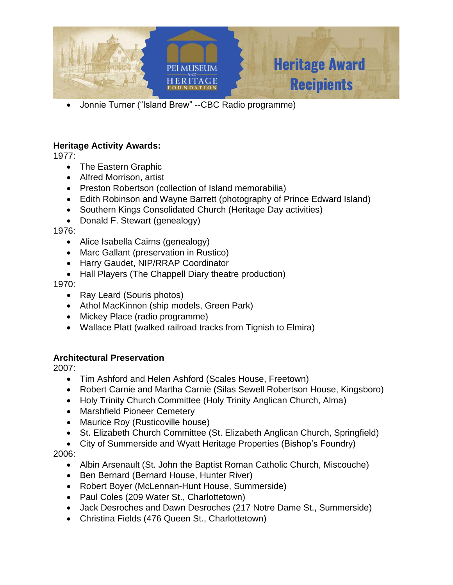

• Jonnie Turner ("Island Brew" --CBC Radio programme)

### **Heritage Activity Awards:**

1977:

- The Eastern Graphic
- Alfred Morrison, artist
- Preston Robertson (collection of Island memorabilia)
- Edith Robinson and Wayne Barrett (photography of Prince Edward Island)
- Southern Kings Consolidated Church (Heritage Day activities)
- Donald F. Stewart (genealogy)

1976:

- Alice Isabella Cairns (genealogy)
- Marc Gallant (preservation in Rustico)
- Harry Gaudet, NIP/RRAP Coordinator
- Hall Players (The Chappell Diary theatre production)

1970:

- Ray Leard (Souris photos)
- Athol MacKinnon (ship models, Green Park)
- Mickey Place (radio programme)
- Wallace Platt (walked railroad tracks from Tignish to Elmira)

## **Architectural Preservation**

2007:

- Tim Ashford and Helen Ashford (Scales House, Freetown)
- Robert Carnie and Martha Carnie (Silas Sewell Robertson House, Kingsboro)
- Holy Trinity Church Committee (Holy Trinity Anglican Church, Alma)
- Marshfield Pioneer Cemetery
- Maurice Roy (Rusticoville house)
- St. Elizabeth Church Committee (St. Elizabeth Anglican Church, Springfield)
- City of Summerside and Wyatt Heritage Properties (Bishop's Foundry)

- Albin Arsenault (St. John the Baptist Roman Catholic Church, Miscouche)
- Ben Bernard (Bernard House, Hunter River)
- Robert Boyer (McLennan-Hunt House, Summerside)
- Paul Coles (209 Water St., Charlottetown)
- Jack Desroches and Dawn Desroches (217 Notre Dame St., Summerside)
- Christina Fields (476 Queen St., Charlottetown)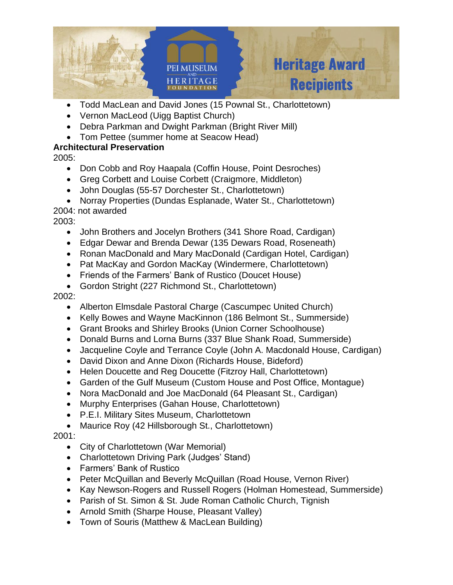

- Todd MacLean and David Jones (15 Pownal St., Charlottetown)
- Vernon MacLeod (Uigg Baptist Church)
- Debra Parkman and Dwight Parkman (Bright River Mill)
- Tom Pettee (summer home at Seacow Head)

2005:

- Don Cobb and Roy Haapala (Coffin House, Point Desroches)
- Greg Corbett and Louise Corbett (Craigmore, Middleton)
- John Douglas (55-57 Dorchester St., Charlottetown)
- Norray Properties (Dundas Esplanade, Water St., Charlottetown)

2004: not awarded

2003:

- John Brothers and Jocelyn Brothers (341 Shore Road, Cardigan)
- Edgar Dewar and Brenda Dewar (135 Dewars Road, Roseneath)
- Ronan MacDonald and Mary MacDonald (Cardigan Hotel, Cardigan)
- Pat MacKay and Gordon MacKay (Windermere, Charlottetown)
- Friends of the Farmers' Bank of Rustico (Doucet House)
- Gordon Stright (227 Richmond St., Charlottetown)

2002:

- Alberton Elmsdale Pastoral Charge (Cascumpec United Church)
- Kelly Bowes and Wayne MacKinnon (186 Belmont St., Summerside)
- Grant Brooks and Shirley Brooks (Union Corner Schoolhouse)
- Donald Burns and Lorna Burns (337 Blue Shank Road, Summerside)
- Jacqueline Coyle and Terrance Coyle (John A. Macdonald House, Cardigan)
- David Dixon and Anne Dixon (Richards House, Bideford)
- Helen Doucette and Reg Doucette (Fitzroy Hall, Charlottetown)
- Garden of the Gulf Museum (Custom House and Post Office, Montague)
- Nora MacDonald and Joe MacDonald (64 Pleasant St., Cardigan)
- Murphy Enterprises (Gahan House, Charlottetown)
- P.E.I. Military Sites Museum, Charlottetown
- Maurice Roy (42 Hillsborough St., Charlottetown)

- City of Charlottetown (War Memorial)
- Charlottetown Driving Park (Judges' Stand)
- Farmers' Bank of Rustico
- Peter McQuillan and Beverly McQuillan (Road House, Vernon River)
- Kay Newson-Rogers and Russell Rogers (Holman Homestead, Summerside)
- Parish of St. Simon & St. Jude Roman Catholic Church, Tignish
- Arnold Smith (Sharpe House, Pleasant Valley)
- Town of Souris (Matthew & MacLean Building)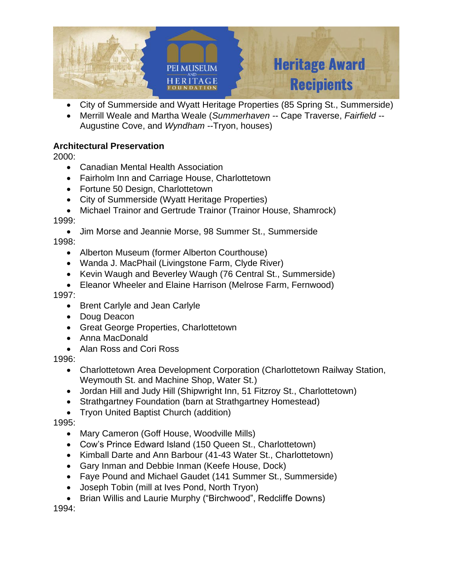

- City of Summerside and Wyatt Heritage Properties (85 Spring St., Summerside)
- Merrill Weale and Martha Weale (*Summerhaven* -- Cape Traverse, *Fairfield* -- Augustine Cove, and *Wyndham* --Tryon, houses)

2000:

- Canadian Mental Health Association
- Fairholm Inn and Carriage House, Charlottetown
- Fortune 50 Design, Charlottetown
- City of Summerside (Wyatt Heritage Properties)

• Michael Trainor and Gertrude Trainor (Trainor House, Shamrock) 1999:

- Jim Morse and Jeannie Morse, 98 Summer St., Summerside
- 1998:
	- Alberton Museum (former Alberton Courthouse)
	- Wanda J. MacPhail (Livingstone Farm, Clyde River)
	- Kevin Waugh and Beverley Waugh (76 Central St., Summerside)
	- Eleanor Wheeler and Elaine Harrison (Melrose Farm, Fernwood)

1997:

- Brent Carlyle and Jean Carlyle
- Doug Deacon
- Great George Properties, Charlottetown
- Anna MacDonald
- Alan Ross and Cori Ross

1996:

- Charlottetown Area Development Corporation (Charlottetown Railway Station, Weymouth St. and Machine Shop, Water St.)
- Jordan Hill and Judy Hill (Shipwright Inn, 51 Fitzroy St., Charlottetown)
- Strathgartney Foundation (barn at Strathgartney Homestead)
- Tryon United Baptist Church (addition)

1995:

- Mary Cameron (Goff House, Woodville Mills)
- Cow's Prince Edward Island (150 Queen St., Charlottetown)
- Kimball Darte and Ann Barbour (41-43 Water St., Charlottetown)
- Gary Inman and Debbie Inman (Keefe House, Dock)
- Faye Pound and Michael Gaudet (141 Summer St., Summerside)
- Joseph Tobin (mill at Ives Pond, North Tryon)
- Brian Willis and Laurie Murphy ("Birchwood", Redcliffe Downs)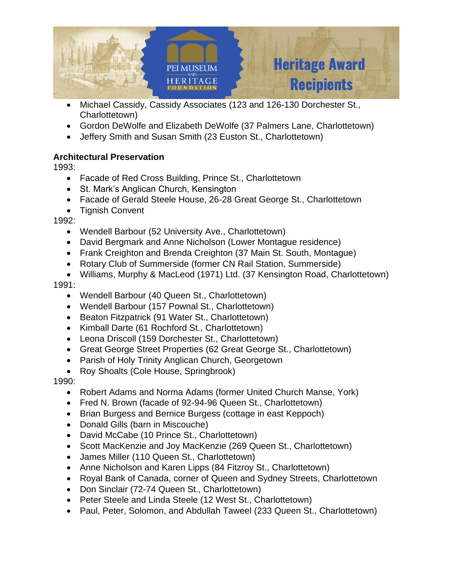

- Michael Cassidy, Cassidy Associates (123 and 126-130 Dorchester St., Charlottetown)
- Gordon DeWolfe and Elizabeth DeWolfe (37 Palmers Lane, Charlottetown)
- Jeffery Smith and Susan Smith (23 Euston St., Charlottetown)

1993:

- Facade of Red Cross Building, Prince St., Charlottetown
- St. Mark's Anglican Church, Kensington
- Facade of Gerald Steele House, 26-28 Great George St., Charlottetown
- Tignish Convent

1992:

- Wendell Barbour (52 University Ave., Charlottetown)
- David Bergmark and Anne Nicholson (Lower Montague residence)
- Frank Creighton and Brenda Creighton (37 Main St. South, Montague)
- Rotary Club of Summerside (former CN Rail Station, Summerside)
- Williams, Murphy & MacLeod (1971) Ltd. (37 Kensington Road, Charlottetown)

1991:

- Wendell Barbour (40 Queen St., Charlottetown)
- Wendell Barbour (157 Pownal St., Charlottetown)
- Beaton Fitzpatrick (91 Water St., Charlottetown)
- Kimball Darte (61 Rochford St., Charlottetown)
- Leona Driscoll (159 Dorchester St., Charlottetown)
- Great George Street Properties (62 Great George St., Charlottetown)
- Parish of Holy Trinity Anglican Church, Georgetown
- Roy Shoalts (Cole House, Springbrook)

- Robert Adams and Norma Adams (former United Church Manse, York)
- Fred N. Brown (facade of 92-94-96 Queen St., Charlottetown)
- Brian Burgess and Bernice Burgess (cottage in east Keppoch)
- Donald Gills (barn in Miscouche)
- David McCabe (10 Prince St., Charlottetown)
- Scott MacKenzie and Joy MacKenzie (269 Queen St., Charlottetown)
- James Miller (110 Queen St., Charlottetown)
- Anne Nicholson and Karen Lipps (84 Fitzroy St., Charlottetown)
- Royal Bank of Canada, corner of Queen and Sydney Streets, Charlottetown
- Don Sinclair (72-74 Queen St., Charlottetown)
- Peter Steele and Linda Steele (12 West St., Charlottetown)
- Paul, Peter, Solomon, and Abdullah Taweel (233 Queen St., Charlottetown)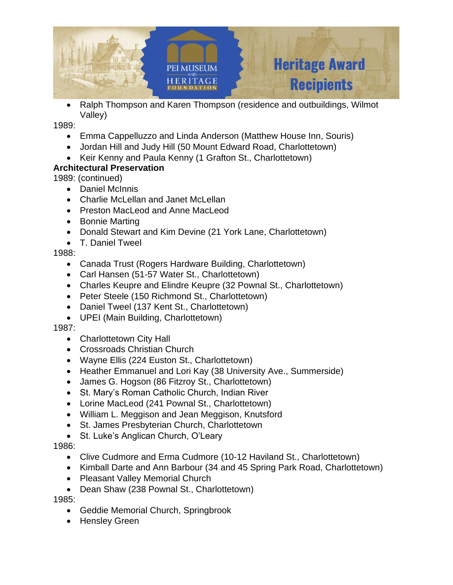

• Ralph Thompson and Karen Thompson (residence and outbuildings, Wilmot Valley)

1989:

- Emma Cappelluzzo and Linda Anderson (Matthew House Inn, Souris)
- Jordan Hill and Judy Hill (50 Mount Edward Road, Charlottetown)
- Keir Kenny and Paula Kenny (1 Grafton St., Charlottetown)

# **Architectural Preservation**

1989: (continued)

- Daniel McInnis
- Charlie McLellan and Janet McLellan
- Preston MacLeod and Anne MacLeod
- Bonnie Marting
- Donald Stewart and Kim Devine (21 York Lane, Charlottetown)
- T. Daniel Tweel

## 1988:

- Canada Trust (Rogers Hardware Building, Charlottetown)
- Carl Hansen (51-57 Water St., Charlottetown)
- Charles Keupre and Elindre Keupre (32 Pownal St., Charlottetown)
- Peter Steele (150 Richmond St., Charlottetown)
- Daniel Tweel (137 Kent St., Charlottetown)
- UPEI (Main Building, Charlottetown)

## 1987:

- Charlottetown City Hall
- Crossroads Christian Church
- Wayne Ellis (224 Euston St., Charlottetown)
- Heather Emmanuel and Lori Kay (38 University Ave., Summerside)
- James G. Hogson (86 Fitzroy St., Charlottetown)
- St. Mary's Roman Catholic Church, Indian River
- Lorine MacLeod (241 Pownal St., Charlottetown)
- William L. Meggison and Jean Meggison, Knutsford
- St. James Presbyterian Church, Charlottetown
- St. Luke's Anglican Church, O'Leary

## 1986:

- Clive Cudmore and Erma Cudmore (10-12 Haviland St., Charlottetown)
- Kimball Darte and Ann Barbour (34 and 45 Spring Park Road, Charlottetown)
- Pleasant Valley Memorial Church
- Dean Shaw (238 Pownal St., Charlottetown)

- Geddie Memorial Church, Springbrook
- Hensley Green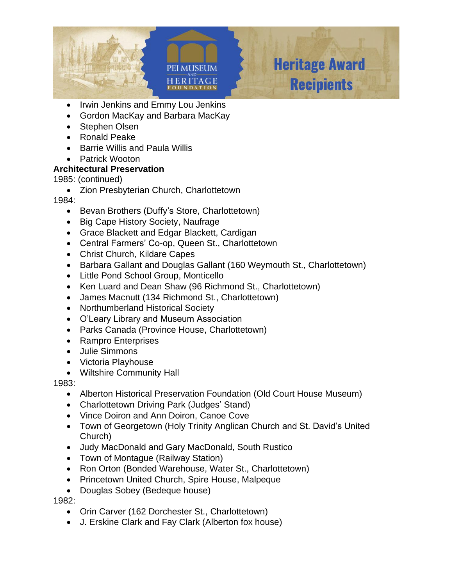

- Irwin Jenkins and Emmy Lou Jenkins
- Gordon MacKay and Barbara MacKay
- Stephen Olsen
- Ronald Peake
- Barrie Willis and Paula Willis
- Patrick Wooton

1985: (continued)

• Zion Presbyterian Church, Charlottetown

## 1984:

- Bevan Brothers (Duffy's Store, Charlottetown)
- Big Cape History Society, Naufrage
- Grace Blackett and Edgar Blackett, Cardigan
- Central Farmers' Co-op, Queen St., Charlottetown
- Christ Church, Kildare Capes
- Barbara Gallant and Douglas Gallant (160 Weymouth St., Charlottetown)
- Little Pond School Group, Monticello
- Ken Luard and Dean Shaw (96 Richmond St., Charlottetown)
- James Macnutt (134 Richmond St., Charlottetown)
- Northumberland Historical Society
- O'Leary Library and Museum Association
- Parks Canada (Province House, Charlottetown)
- Rampro Enterprises
- Julie Simmons
- Victoria Playhouse
- Wiltshire Community Hall

### 1983:

- Alberton Historical Preservation Foundation (Old Court House Museum)
- Charlottetown Driving Park (Judges' Stand)
- Vince Doiron and Ann Doiron, Canoe Cove
- Town of Georgetown (Holy Trinity Anglican Church and St. David's United Church)
- Judy MacDonald and Gary MacDonald, South Rustico
- Town of Montague (Railway Station)
- Ron Orton (Bonded Warehouse, Water St., Charlottetown)
- Princetown United Church, Spire House, Malpeque
- Douglas Sobey (Bedeque house)

- Orin Carver (162 Dorchester St., Charlottetown)
- J. Erskine Clark and Fay Clark (Alberton fox house)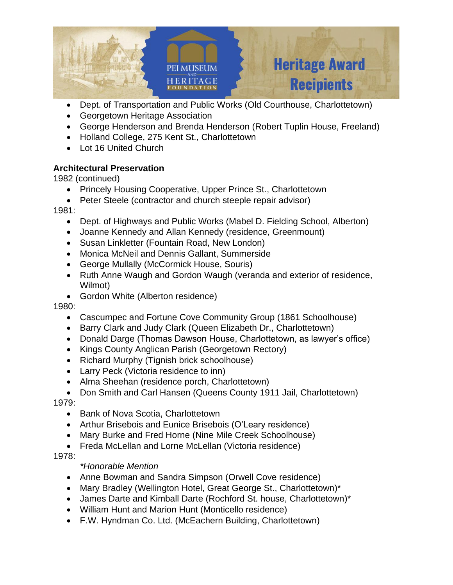

- Dept. of Transportation and Public Works (Old Courthouse, Charlottetown)
- Georgetown Heritage Association
- George Henderson and Brenda Henderson (Robert Tuplin House, Freeland)
- Holland College, 275 Kent St., Charlottetown
- Lot 16 United Church

1982 (continued)

- Princely Housing Cooperative, Upper Prince St., Charlottetown
- Peter Steele (contractor and church steeple repair advisor)

1981:

- Dept. of Highways and Public Works (Mabel D. Fielding School, Alberton)
- Joanne Kennedy and Allan Kennedy (residence, Greenmount)
- Susan Linkletter (Fountain Road, New London)
- Monica McNeil and Dennis Gallant, Summerside
- George Mullally (McCormick House, Souris)
- Ruth Anne Waugh and Gordon Waugh (veranda and exterior of residence, Wilmot)
- Gordon White (Alberton residence)

1980:

- Cascumpec and Fortune Cove Community Group (1861 Schoolhouse)
- Barry Clark and Judy Clark (Queen Elizabeth Dr., Charlottetown)
- Donald Darge (Thomas Dawson House, Charlottetown, as lawyer's office)
- Kings County Anglican Parish (Georgetown Rectory)
- Richard Murphy (Tignish brick schoolhouse)
- Larry Peck (Victoria residence to inn)
- Alma Sheehan (residence porch, Charlottetown)
- Don Smith and Carl Hansen (Queens County 1911 Jail, Charlottetown)

1979:

- Bank of Nova Scotia, Charlottetown
- Arthur Brisebois and Eunice Brisebois (O'Leary residence)
- Mary Burke and Fred Horne (Nine Mile Creek Schoolhouse)
- Freda McLellan and Lorne McLellan (Victoria residence)

1978:

## *\*Honorable Mention*

- Anne Bowman and Sandra Simpson (Orwell Cove residence)
- Mary Bradley (Wellington Hotel, Great George St., Charlottetown)\*
- James Darte and Kimball Darte (Rochford St. house, Charlottetown)\*
- William Hunt and Marion Hunt (Monticello residence)
- F.W. Hyndman Co. Ltd. (McEachern Building, Charlottetown)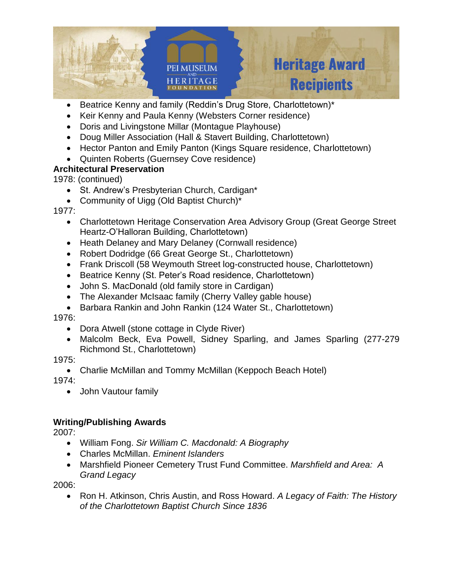

- Beatrice Kenny and family (Reddin's Drug Store, Charlottetown)\*
- Keir Kenny and Paula Kenny (Websters Corner residence)
- Doris and Livingstone Millar (Montague Playhouse)
- Doug Miller Association (Hall & Stavert Building, Charlottetown)
- Hector Panton and Emily Panton (Kings Square residence, Charlottetown)
- Quinten Roberts (Guernsey Cove residence)

1978: (continued)

- St. Andrew's Presbyterian Church, Cardigan\*
- Community of Uigg (Old Baptist Church)\*

1977:

- Charlottetown Heritage Conservation Area Advisory Group (Great George Street Heartz-O'Halloran Building, Charlottetown)
- Heath Delaney and Mary Delaney (Cornwall residence)
- Robert Dodridge (66 Great George St., Charlottetown)
- Frank Driscoll (58 Weymouth Street log-constructed house, Charlottetown)
- Beatrice Kenny (St. Peter's Road residence, Charlottetown)
- John S. MacDonald (old family store in Cardigan)
- The Alexander McIsaac family (Cherry Valley gable house)
- Barbara Rankin and John Rankin (124 Water St., Charlottetown)

1976:

- Dora Atwell (stone cottage in Clyde River)
- Malcolm Beck, Eva Powell, Sidney Sparling, and James Sparling (277-279 Richmond St., Charlottetown)

1975:

• Charlie McMillan and Tommy McMillan (Keppoch Beach Hotel)

1974:

• John Vautour family

# **Writing/Publishing Awards**

2007:

- William Fong. *Sir William C. Macdonald: A Biography*
- Charles McMillan. *Eminent Islanders*
- Marshfield Pioneer Cemetery Trust Fund Committee. *Marshfield and Area: A Grand Legacy*

2006:

• Ron H. Atkinson, Chris Austin, and Ross Howard. *A Legacy of Faith: The History of the Charlottetown Baptist Church Since 1836*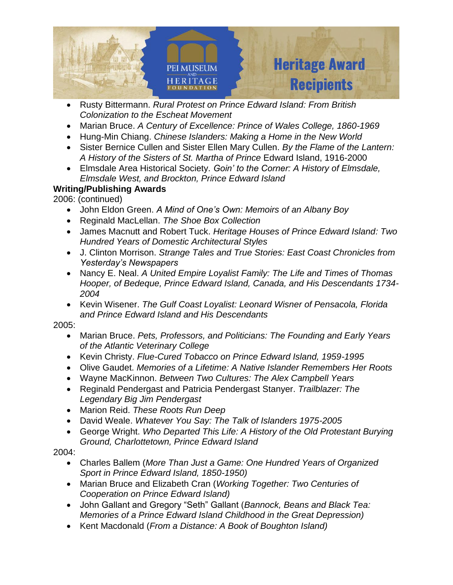

- Rusty Bittermann. *Rural Protest on Prince Edward Island: From British Colonization to the Escheat Movement*
- Marian Bruce. *A Century of Excellence: Prince of Wales College, 1860-1969*
- Hung-Min Chiang. *Chinese Islanders: Making a Home in the New World*
- Sister Bernice Cullen and Sister Ellen Mary Cullen. *By the Flame of the Lantern: A History of the Sisters of St. Martha of Prince* Edward Island, 1916-2000
- Elmsdale Area Historical Society. *Goin' to the Corner: A History of Elmsdale, Elmsdale West, and Brockton, Prince Edward Island*

2006: (continued)

- John Eldon Green. *A Mind of One's Own: Memoirs of an Albany Boy*
- Reginald MacLellan. *The Shoe Box Collection*
- James Macnutt and Robert Tuck. *Heritage Houses of Prince Edward Island: Two Hundred Years of Domestic Architectural Styles*
- J. Clinton Morrison. *Strange Tales and True Stories: East Coast Chronicles from Yesterday's Newspapers*
- Nancy E. Neal. *A United Empire Loyalist Family: The Life and Times of Thomas Hooper, of Bedeque, Prince Edward Island, Canada, and His Descendants 1734- 2004*
- Kevin Wisener. *The Gulf Coast Loyalist: Leonard Wisner of Pensacola, Florida and Prince Edward Island and His Descendants*

2005:

- Marian Bruce. *Pets, Professors, and Politicians: The Founding and Early Years of the Atlantic Veterinary College*
- Kevin Christy. *Flue-Cured Tobacco on Prince Edward Island, 1959-1995*
- Olive Gaudet. *Memories of a Lifetime: A Native Islander Remembers Her Roots*
- Wayne MacKinnon. *Between Two Cultures: The Alex Campbell Years*
- Reginald Pendergast and Patricia Pendergast Stanyer. *Trailblazer: The Legendary Big Jim Pendergast*
- Marion Reid. *These Roots Run Deep*
- David Weale. *Whatever You Say: The Talk of Islanders 1975-2005*
- George Wright. *Who Departed This Life: A History of the Old Protestant Burying Ground, Charlottetown, Prince Edward Island*

- Charles Ballem (*More Than Just a Game: One Hundred Years of Organized Sport in Prince Edward Island, 1850-1950)*
- Marian Bruce and Elizabeth Cran (*Working Together: Two Centuries of Cooperation on Prince Edward Island)*
- John Gallant and Gregory "Seth" Gallant (*Bannock, Beans and Black Tea: Memories of a Prince Edward Island Childhood in the Great Depression)*
- Kent Macdonald (*From a Distance: A Book of Boughton Island)*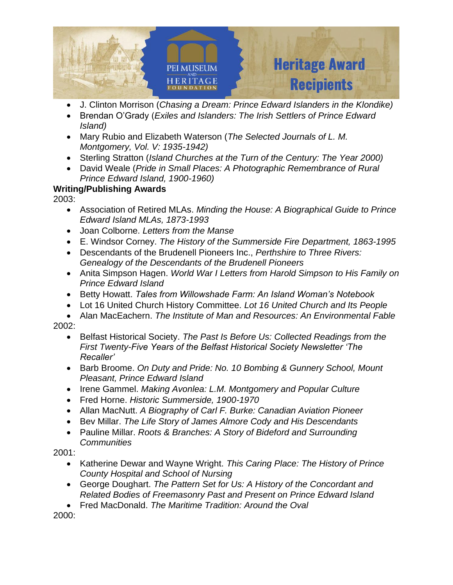

- J. Clinton Morrison (*Chasing a Dream: Prince Edward Islanders in the Klondike)*
- Brendan O'Grady (*Exiles and Islanders: The Irish Settlers of Prince Edward Island)*
- Mary Rubio and Elizabeth Waterson (*The Selected Journals of L. M. Montgomery, Vol. V: 1935-1942)*
- Sterling Stratton (*Island Churches at the Turn of the Century: The Year 2000)*
- David Weale (*Pride in Small Places: A Photographic Remembrance of Rural Prince Edward Island, 1900-1960)*

2003:

- Association of Retired MLAs. *Minding the House: A Biographical Guide to Prince Edward Island MLAs, 1873-1993*
- Joan Colborne. *Letters from the Manse*
- E. Windsor Corney. *The History of the Summerside Fire Department, 1863-1995*
- Descendants of the Brudenell Pioneers Inc., *Perthshire to Three Rivers: Genealogy of the Descendants of the Brudenell Pioneers*
- Anita Simpson Hagen. *World War I Letters from Harold Simpson to His Family on Prince Edward Island*
- Betty Howatt. *Tales from Willowshade Farm: An Island Woman's Notebook*
- Lot 16 United Church History Committee. *Lot 16 United Church and Its People*
- Alan MacEachern. *The Institute of Man and Resources: An Environmental Fable* 2002:
	- Belfast Historical Society. *The Past Is Before Us: Collected Readings from the First Twenty-Five Years of the Belfast Historical Society Newsletter 'The Recaller'*
	- Barb Broome. *On Duty and Pride: No. 10 Bombing & Gunnery School, Mount Pleasant, Prince Edward Island*
	- Irene Gammel. *Making Avonlea: L.M. Montgomery and Popular Culture*
	- Fred Horne. *Historic Summerside, 1900-1970*
	- Allan MacNutt. *A Biography of Carl F. Burke: Canadian Aviation Pioneer*
	- Bev Millar. *The Life Story of James Almore Cody and His Descendants*
	- Pauline Millar. *Roots & Branches: A Story of Bideford and Surrounding Communities*

2001:

- Katherine Dewar and Wayne Wright. *This Caring Place: The History of Prince County Hospital and School of Nursing*
- George Doughart. *The Pattern Set for Us: A History of the Concordant and Related Bodies of Freemasonry Past and Present on Prince Edward Island*
- Fred MacDonald. *The Maritime Tradition: Around the Oval*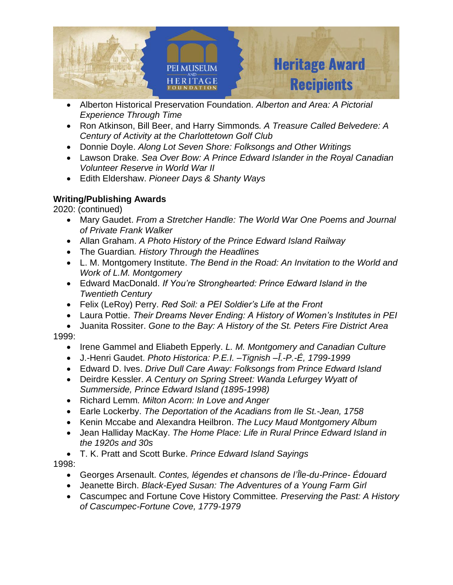

- Alberton Historical Preservation Foundation. *Alberton and Area: A Pictorial Experience Through Time*
- Ron Atkinson, Bill Beer, and Harry Simmonds*. A Treasure Called Belvedere: A Century of Activity at the Charlottetown Golf Club*
- Donnie Doyle. *Along Lot Seven Shore: Folksongs and Other Writings*
- Lawson Drake*. Sea Over Bow: A Prince Edward Islander in the Royal Canadian Volunteer Reserve in World War II*
- Edith Eldershaw. *Pioneer Days & Shanty Ways*

2020: (continued)

- Mary Gaudet. *From a Stretcher Handle: The World War One Poems and Journal of Private Frank Walker*
- Allan Graham. *A Photo History of the Prince Edward Island Railway*
- The Guardian*. History Through the Headlines*
- L. M. Montgomery Institute. *The Bend in the Road: An Invitation to the World and Work of L.M. Montgomery*
- Edward MacDonald. *If You're Stronghearted: Prince Edward Island in the Twentieth Century*
- Felix (LeRoy) Perry. *Red Soil: a PEI Soldier's Life at the Front*
- Laura Pottie. *Their Dreams Never Ending: A History of Women's Institutes in PEI*
- Juanita Rossiter. *Gone to the Bay: A History of the St. Peters Fire District Area* 1999:
	- Irene Gammel and Eliabeth Epperly. *L. M. Montgomery and Canadian Culture*
	- J.-Henri Gaudet. *Photo Historica: P.E.I. –Tignish –Ȋ.-P.-É, 1799-1999*
	- Edward D. Ives. *Drive Dull Care Away: Folksongs from Prince Edward Island*
	- Deirdre Kessler. *A Century on Spring Street: Wanda Lefurgey Wyatt of Summerside, Prince Edward Island (1895-1998)*
	- Richard Lemm*. Milton Acorn: In Love and Anger*
	- Earle Lockerby. *The Deportation of the Acadians from Ile St.-Jean, 1758*
	- Kenin Mccabe and Alexandra Heilbron. *The Lucy Maud Montgomery Album*
	- Jean Halliday MacKay. *The Home Place: Life in Rural Prince Edward Island in the 1920s and 30s*
- T. K. Pratt and Scott Burke. *Prince Edward Island Sayings* 1998:
	- Georges Arsenault. *Contes, légendes et chansons de l'Ȋle-du-Prince- Édouard*
	- Jeanette Birch. *Black-Eyed Susan: The Adventures of a Young Farm Girl*
	- Cascumpec and Fortune Cove History Committee*. Preserving the Past: A History of Cascumpec-Fortune Cove, 1779-1979*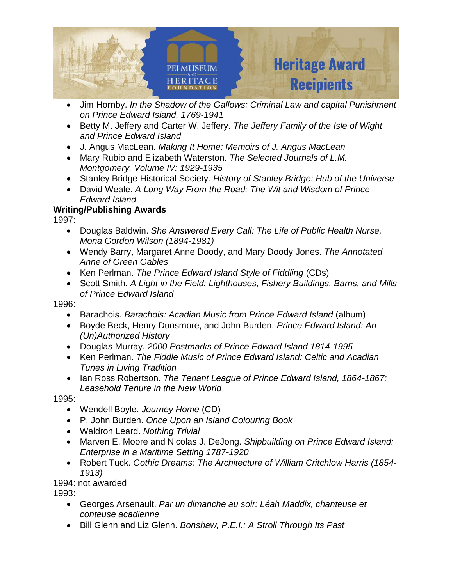

- Jim Hornby. *In the Shadow of the Gallows: Criminal Law and capital Punishment on Prince Edward Island, 1769-1941*
- Betty M. Jeffery and Carter W. Jeffery. *The Jeffery Family of the Isle of Wight and Prince Edward Island*
- J. Angus MacLean. *Making It Home: Memoirs of J. Angus MacLean*
- Mary Rubio and Elizabeth Waterston. *The Selected Journals of L.M. Montgomery, Volume IV: 1929-1935*
- Stanley Bridge Historical Society*. History of Stanley Bridge: Hub of the Universe*
- David Weale. *A Long Way From the Road: The Wit and Wisdom of Prince Edward Island*

1997:

- Douglas Baldwin. *She Answered Every Call: The Life of Public Health Nurse, Mona Gordon Wilson (1894-1981)*
- Wendy Barry, Margaret Anne Doody, and Mary Doody Jones. *The Annotated Anne of Green Gables*
- Ken Perlman. *The Prince Edward Island Style of Fiddling* (CDs)
- Scott Smith. *A Light in the Field: Lighthouses, Fishery Buildings, Barns, and Mills of Prince Edward Island*

1996:

- Barachois. *Barachois: Acadian Music from Prince Edward Island* (album)
- Boyde Beck, Henry Dunsmore, and John Burden. *Prince Edward Island: An (Un)Authorized History*
- Douglas Murray. *2000 Postmarks of Prince Edward Island 1814-1995*
- Ken Perlman. *The Fiddle Music of Prince Edward Island: Celtic and Acadian Tunes in Living Tradition*
- Ian Ross Robertson. *The Tenant League of Prince Edward Island, 1864-1867: Leasehold Tenure in the New World*

1995:

- Wendell Boyle. *Journey Home* (CD)
- P. John Burden. *Once Upon an Island Colouring Book*
- Waldron Leard. *Nothing Trivial*
- Marven E. Moore and Nicolas J. DeJong. *Shipbuilding on Prince Edward Island: Enterprise in a Maritime Setting 1787-1920*
- Robert Tuck. *Gothic Dreams: The Architecture of William Critchlow Harris (1854- 1913)*

1994: not awarded

- Georges Arsenault. *Par un dimanche au soir: Léah Maddix, chanteuse et conteuse acadienne*
- Bill Glenn and Liz Glenn. *Bonshaw, P.E.I.: A Stroll Through Its Past*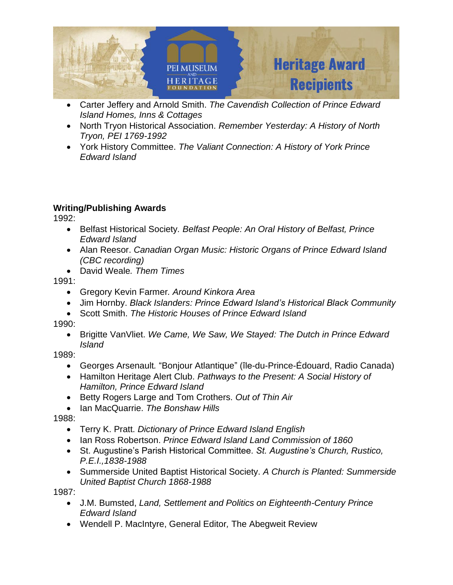

- Carter Jeffery and Arnold Smith. *The Cavendish Collection of Prince Edward Island Homes, Inns & Cottages*
- North Tryon Historical Association. *Remember Yesterday: A History of North Tryon, PEI 1769-1992*
- York History Committee. *The Valiant Connection: A History of York Prince Edward Island*

1992:

- Belfast Historical Society*. Belfast People: An Oral History of Belfast, Prince Edward Island*
- Alan Reesor. *Canadian Organ Music: Historic Organs of Prince Edward Island (CBC recording)*
- David Weale*. Them Times*

1991:

- Gregory Kevin Farmer*. Around Kinkora Area*
- Jim Hornby. *Black Islanders: Prince Edward Island's Historical Black Community*
- Scott Smith. *The Historic Houses of Prince Edward Island*

1990:

• Brigitte VanVliet. *We Came, We Saw, We Stayed: The Dutch in Prince Edward Island*

1989:

- Georges Arsenault*.* "Bonjour Atlantique" (île-du-Prince-Édouard, Radio Canada)
- Hamilton Heritage Alert Club. *Pathways to the Present: A Social History of Hamilton, Prince Edward Island*
- Betty Rogers Large and Tom Crothers. *Out of Thin Air*
- Ian MacQuarrie. *The Bonshaw Hills*

1988:

- Terry K. Pratt. *Dictionary of Prince Edward Island English*
- Ian Ross Robertson. *Prince Edward Island Land Commission of 1860*
- St. Augustine's Parish Historical Committee*. St. Augustine's Church, Rustico, P.E.I.,1838-1988*
- Summerside United Baptist Historical Society. *A Church is Planted: Summerside United Baptist Church 1868-1988*

- J.M. Bumsted, *Land, Settlement and Politics on Eighteenth-Century Prince Edward Island*
- Wendell P. MacIntyre, General Editor*,* The Abegweit Review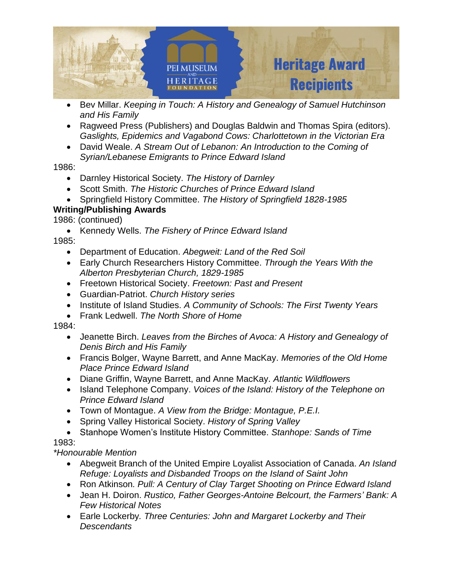

- Bev Millar. *Keeping in Touch: A History and Genealogy of Samuel Hutchinson and His Family*
- Ragweed Press (Publishers) and Douglas Baldwin and Thomas Spira (editors). *Gaslights, Epidemics and Vagabond Cows: Charlottetown in the Victorian Era*
- David Weale. *A Stream Out of Lebanon: An Introduction to the Coming of Syrian/Lebanese Emigrants to Prince Edward Island*

### 1986:

- Darnley Historical Society. *The History of Darnley*
- Scott Smith. *The Historic Churches of Prince Edward Island*
- Springfield History Committee. *The History of Springfield 1828-1985*

# **Writing/Publishing Awards**

1986: (continued)

• Kennedy Wells. *The Fishery of Prince Edward Island*

1985:

- Department of Education. *Abegweit: Land of the Red Soil*
- Early Church Researchers History Committee. *Through the Years With the Alberton Presbyterian Church, 1829-1985*
- Freetown Historical Society. *Freetown: Past and Present*
- Guardian-Patriot. *Church History series*
- Institute of Island Studies. *A Community of Schools: The First Twenty Years*
- Frank Ledwell. *The North Shore of Home*

1984:

- Jeanette Birch. *Leaves from the Birches of Avoca: A History and Genealogy of Denis Birch and His Family*
- Francis Bolger, Wayne Barrett, and Anne MacKay. *Memories of the Old Home Place Prince Edward Island*
- Diane Griffin, Wayne Barrett, and Anne MacKay. *Atlantic Wildflowers*
- Island Telephone Company. *Voices of the Island: History of the Telephone on Prince Edward Island*
- Town of Montague. *A View from the Bridge: Montague, P.E.I.*
- Spring Valley Historical Society. *History of Spring Valley*
- Stanhope Women's Institute History Committee. *Stanhope: Sands of Time* 1983:

*\*Honourable Mention*

- Abegweit Branch of the United Empire Loyalist Association of Canada. *An Island Refuge: Loyalists and Disbanded Troops on the Island of Saint John*
- Ron Atkinson*. Pull: A Century of Clay Target Shooting on Prince Edward Island*
- Jean H. Doiron. *Rustico, Father Georges-Antoine Belcourt, the Farmers' Bank: A Few Historical Notes*
- Earle Lockerby*. Three Centuries: John and Margaret Lockerby and Their Descendants*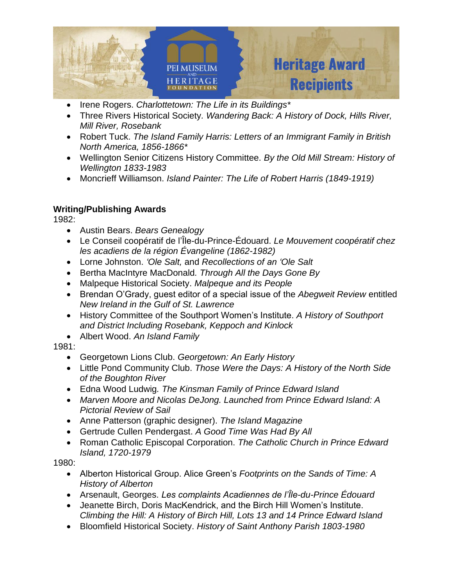

- Irene Rogers. *Charlottetown: The Life in its Buildings\**
- Three Rivers Historical Society*. Wandering Back: A History of Dock, Hills River, Mill River, Rosebank*
- Robert Tuck. *The Island Family Harris: Letters of an Immigrant Family in British North America, 1856-1866\**
- Wellington Senior Citizens History Committee. *By the Old Mill Stream: History of Wellington 1833-1983*
- Moncrieff Williamson. *Island Painter: The Life of Robert Harris (1849-1919)*

1982:

- Austin Bears. *Bears Genealogy*
- Le Conseil coopératif de l'Île-du-Prince-Édouard. *Le Mouvement coopératif chez les acadiens de la région Évangeline (1862-1982)*
- Lorne Johnston. *'Ole Salt,* and *Recollections of an 'Ole Salt*
- Bertha MacIntyre MacDonald*. Through All the Days Gone By*
- Malpeque Historical Society. *Malpeque and its People*
- Brendan O'Grady, guest editor of a special issue of the *Abegweit Review* entitled *New Ireland in the Gulf of St. Lawrence*
- History Committee of the Southport Women's Institute. *A History of Southport and District Including Rosebank, Keppoch and Kinlock*
- Albert Wood. *An Island Family*

## 1981:

- Georgetown Lions Club. *Georgetown: An Early History*
- Little Pond Community Club. *Those Were the Days: A History of the North Side of the Boughton River*
- Edna Wood Ludwig*. The Kinsman Family of Prince Edward Island*
- *Marven Moore and Nicolas DeJong. Launched from Prince Edward Island: A Pictorial Review of Sail*
- Anne Patterson (graphic designer). *The Island Magazine*
- Gertrude Cullen Pendergast. *A Good Time Was Had By All*
- Roman Catholic Episcopal Corporation. *The Catholic Church in Prince Edward Island, 1720-1979*

- Alberton Historical Group. Alice Green's *Footprints on the Sands of Time: A History of Alberton*
- Arsenault, Georges. *Les complaints Acadiennes de l'Ȋle-du-Prince Édouard*
- Jeanette Birch, Doris MacKendrick, and the Birch Hill Women's Institute. *Climbing the Hill: A History of Birch Hill, Lots 13 and 14 Prince Edward Island*
- Bloomfield Historical Society. *History of Saint Anthony Parish 1803-1980*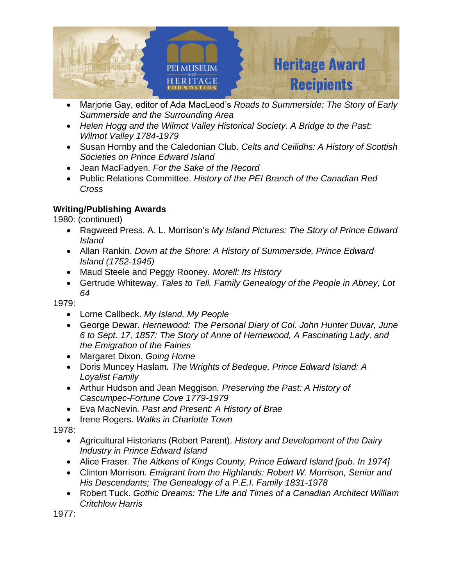

- Marjorie Gay, editor of Ada MacLeod's *Roads to Summerside: The Story of Early Summerside and the Surrounding Area*
- *Helen Hogg and the Wilmot Valley Historical Society. A Bridge to the Past: Wilmot Valley 1784-1979*
- Susan Hornby and the Caledonian Club. *Celts and Ceilidhs: A History of Scottish Societies on Prince Edward Island*
- Jean MacFadyen. *For the Sake of the Record*
- Public Relations Committee. *History of the PEI Branch of the Canadian Red Cross*

1980: (continued)

- Ragweed Press*.* A. L. Morrison's *My Island Pictures: The Story of Prince Edward Island*
- Allan Rankin. *Down at the Shore: A History of Summerside, Prince Edward Island (1752-1945)*
- Maud Steele and Peggy Rooney*. Morell: Its History*
- Gertrude Whiteway. *Tales to Tell, Family Genealogy of the People in Abney, Lot 64*

1979:

- Lorne Callbeck. *My Island, My People*
- George Dewar*. Hernewood: The Personal Diary of Col. John Hunter Duvar, June 6 to Sept. 17, 1857: The Story of Anne of Hernewood, A Fascinating Lady, and the Emigration of the Fairies*
- Margaret Dixon*. Going Home*
- Doris Muncey Haslam*. The Wrights of Bedeque, Prince Edward Island: A Loyalist Family*
- Arthur Hudson and Jean Meggison*. Preserving the Past: A History of Cascumpec-Fortune Cove 1779-1979*
- Eva MacNevin*. Past and Present: A History of Brae*
- Irene Rogers. *Walks in Charlotte Town*

1978:

- Agricultural Historians (Robert Parent). *History and Development of the Dairy Industry in Prince Edward Island*
- Alice Fraser*. The Aitkens of Kings County, Prince Edward Island [pub. In 1974]*
- Clinton Morrison. *Emigrant from the Highlands: Robert W. Morrison, Senior and His Descendants; The Genealogy of a P.E.I. Family 1831-1978*
- Robert Tuck. *Gothic Dreams: The Life and Times of a Canadian Architect William Critchlow Harris*